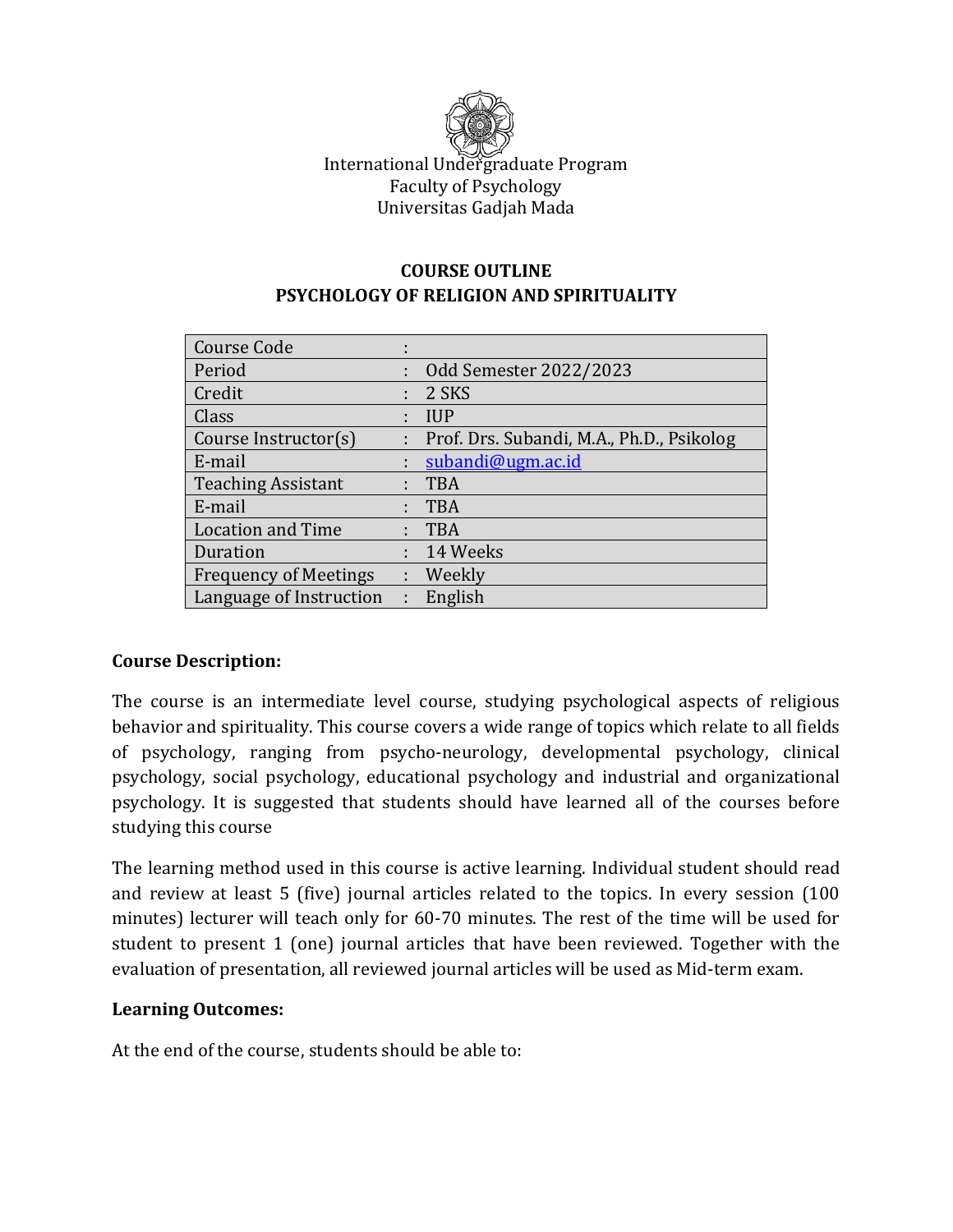

# **COURSE OUTLINE PSYCHOLOGY OF RELIGION AND SPIRITUALITY**

| <b>Course Code</b>           | $\blacksquare$ |                                           |
|------------------------------|----------------|-------------------------------------------|
| Period                       | t.             | Odd Semester 2022/2023                    |
| Credit                       | ÷              | 2 SKS                                     |
| Class                        | ÷              | <b>IUP</b>                                |
| Course Instructor(s)         |                | Prof. Drs. Subandi, M.A., Ph.D., Psikolog |
| E-mail                       |                | subandi@ugm.ac.id                         |
| <b>Teaching Assistant</b>    |                | <b>TBA</b>                                |
| E-mail                       |                | <b>TBA</b>                                |
| <b>Location and Time</b>     |                | <b>TBA</b>                                |
| Duration                     |                | 14 Weeks                                  |
| <b>Frequency of Meetings</b> |                | : Weekly                                  |
| Language of Instruction      | t.             | English                                   |

#### **Course Description:**

The course is an intermediate level course, studying psychological aspects of religious behavior and spirituality. This course covers a wide range of topics which relate to all fields of psychology, ranging from psycho-neurology, developmental psychology, clinical psychology, social psychology, educational psychology and industrial and organizational psychology. It is suggested that students should have learned all of the courses before studying this course

The learning method used in this course is active learning. Individual student should read and review at least 5 (five) journal articles related to the topics. In every session (100 minutes) lecturer will teach only for 60-70 minutes. The rest of the time will be used for student to present 1 (one) journal articles that have been reviewed. Together with the evaluation of presentation, all reviewed journal articles will be used as Mid-term exam.

#### **Learning Outcomes:**

At the end of the course, students should be able to: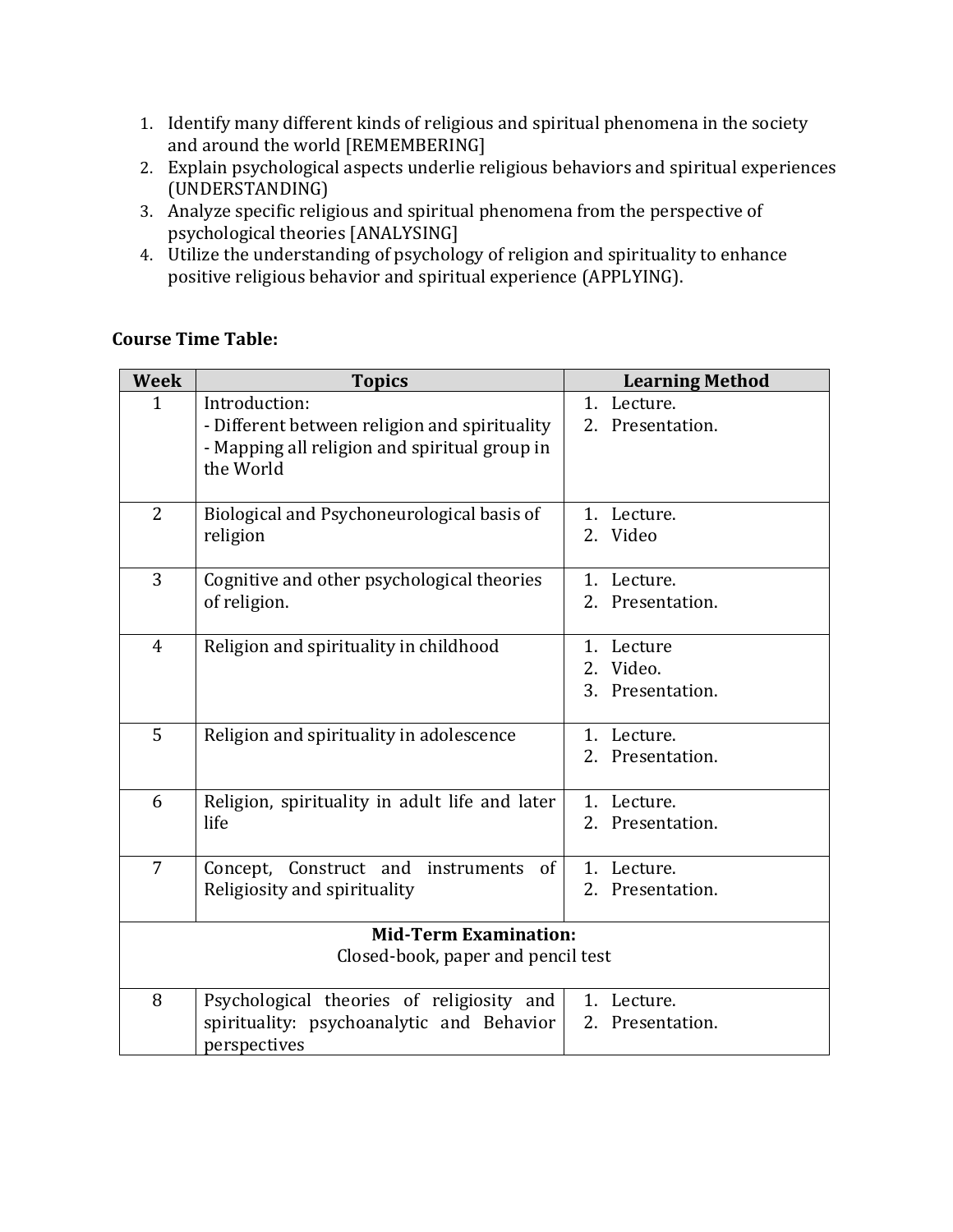- 1. Identify many different kinds of religious and spiritual phenomena in the society and around the world [REMEMBERING]
- 2. Explain psychological aspects underlie religious behaviors and spiritual experiences (UNDERSTANDING)
- 3. Analyze specific religious and spiritual phenomena from the perspective of psychological theories [ANALYSING]
- 4. Utilize the understanding of psychology of religion and spirituality to enhance positive religious behavior and spiritual experience (APPLYING).

#### **Course Time Table:**

| <b>Week</b>                        | <b>Topics</b>                                                                                                                | <b>Learning Method</b>                      |  |  |
|------------------------------------|------------------------------------------------------------------------------------------------------------------------------|---------------------------------------------|--|--|
| $\mathbf 1$                        | Introduction:<br>- Different between religion and spirituality<br>- Mapping all religion and spiritual group in<br>the World | 1. Lecture.<br>2. Presentation.             |  |  |
| $\overline{2}$                     | Biological and Psychoneurological basis of<br>religion                                                                       | 1. Lecture.<br>2. Video                     |  |  |
| 3                                  | Cognitive and other psychological theories<br>of religion.                                                                   | 1. Lecture.<br>2. Presentation.             |  |  |
| $\overline{4}$                     | Religion and spirituality in childhood                                                                                       | 1. Lecture<br>2. Video.<br>3. Presentation. |  |  |
| 5                                  | Religion and spirituality in adolescence                                                                                     | 1. Lecture.<br>2. Presentation.             |  |  |
| 6                                  | Religion, spirituality in adult life and later<br>life                                                                       | 1. Lecture.<br>2. Presentation.             |  |  |
| 7                                  | Concept, Construct and instruments of<br>Religiosity and spirituality                                                        | 1. Lecture.<br>2. Presentation.             |  |  |
|                                    | <b>Mid-Term Examination:</b>                                                                                                 |                                             |  |  |
| Closed-book, paper and pencil test |                                                                                                                              |                                             |  |  |
| 8                                  | Psychological theories of religiosity and<br>spirituality: psychoanalytic and Behavior<br>perspectives                       | 1. Lecture.<br>2. Presentation.             |  |  |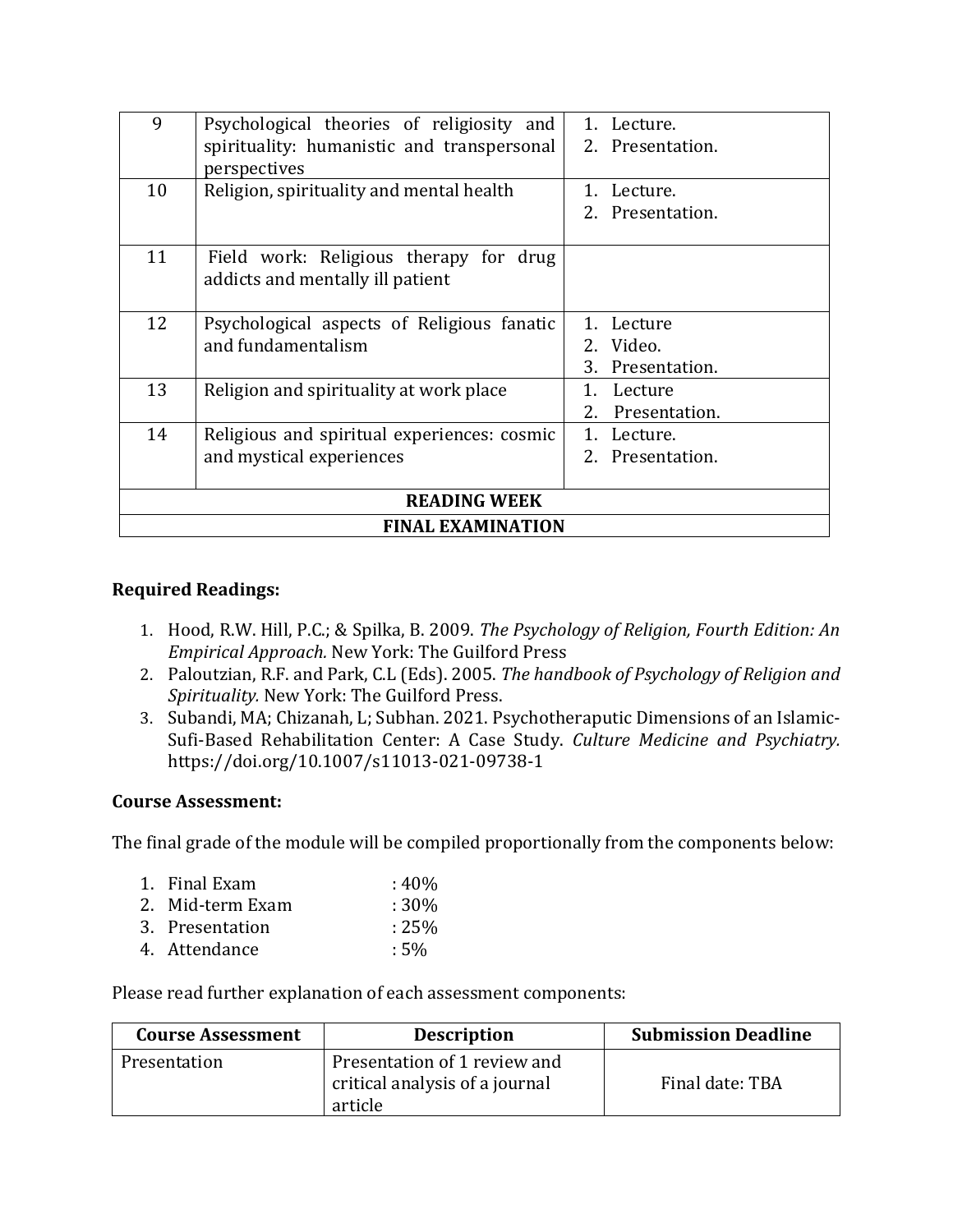| 9                        | Psychological theories of religiosity and<br>spirituality: humanistic and transpersonal<br>perspectives | 1. Lecture.<br>2. Presentation.                       |  |
|--------------------------|---------------------------------------------------------------------------------------------------------|-------------------------------------------------------|--|
| 10                       | Religion, spirituality and mental health                                                                | 1. Lecture.<br>2. Presentation.                       |  |
| 11                       | Field work: Religious therapy for drug<br>addicts and mentally ill patient                              |                                                       |  |
| 12                       | Psychological aspects of Religious fanatic<br>and fundamentalism                                        | 1. Lecture<br>2. Video.<br>3.<br>Presentation.        |  |
| 13                       | Religion and spirituality at work place                                                                 | $1_{-}$<br>Lecture<br>2 <sub>1</sub><br>Presentation. |  |
| 14                       | Religious and spiritual experiences: cosmic<br>and mystical experiences                                 | 1. Lecture.<br>2. Presentation.                       |  |
| <b>READING WEEK</b>      |                                                                                                         |                                                       |  |
| <b>FINAL EXAMINATION</b> |                                                                                                         |                                                       |  |

#### **Required Readings:**

- 1. Hood, R.W. Hill, P.C.; & Spilka, B. 2009. *The Psychology of Religion, Fourth Edition: An Empirical Approach.* New York: The Guilford Press
- 2. Paloutzian, R.F. and Park, C.L (Eds). 2005. *The handbook of Psychology of Religion and Spirituality.* New York: The Guilford Press.
- 3. Subandi, MA; Chizanah, L; Subhan. 2021. Psychotheraputic Dimensions of an Islamic-Sufi-Based Rehabilitation Center: A Case Study. *Culture Medicine and Psychiatry.* https://doi.org/10.1007/s11013-021-09738-1

#### **Course Assessment:**

The final grade of the module will be compiled proportionally from the components below:

| 1. Final Exam    | $:40\%$ |
|------------------|---------|
| 2. Mid-term Exam | $:30\%$ |
| 3. Presentation  | :25%    |
| 4. Attendance    | $:5\%$  |

Please read further explanation of each assessment components:

| <b>Course Assessment</b> | <b>Description</b>                                                        | <b>Submission Deadline</b> |
|--------------------------|---------------------------------------------------------------------------|----------------------------|
| Presentation             | Presentation of 1 review and<br>critical analysis of a journal<br>article | Final date: TBA            |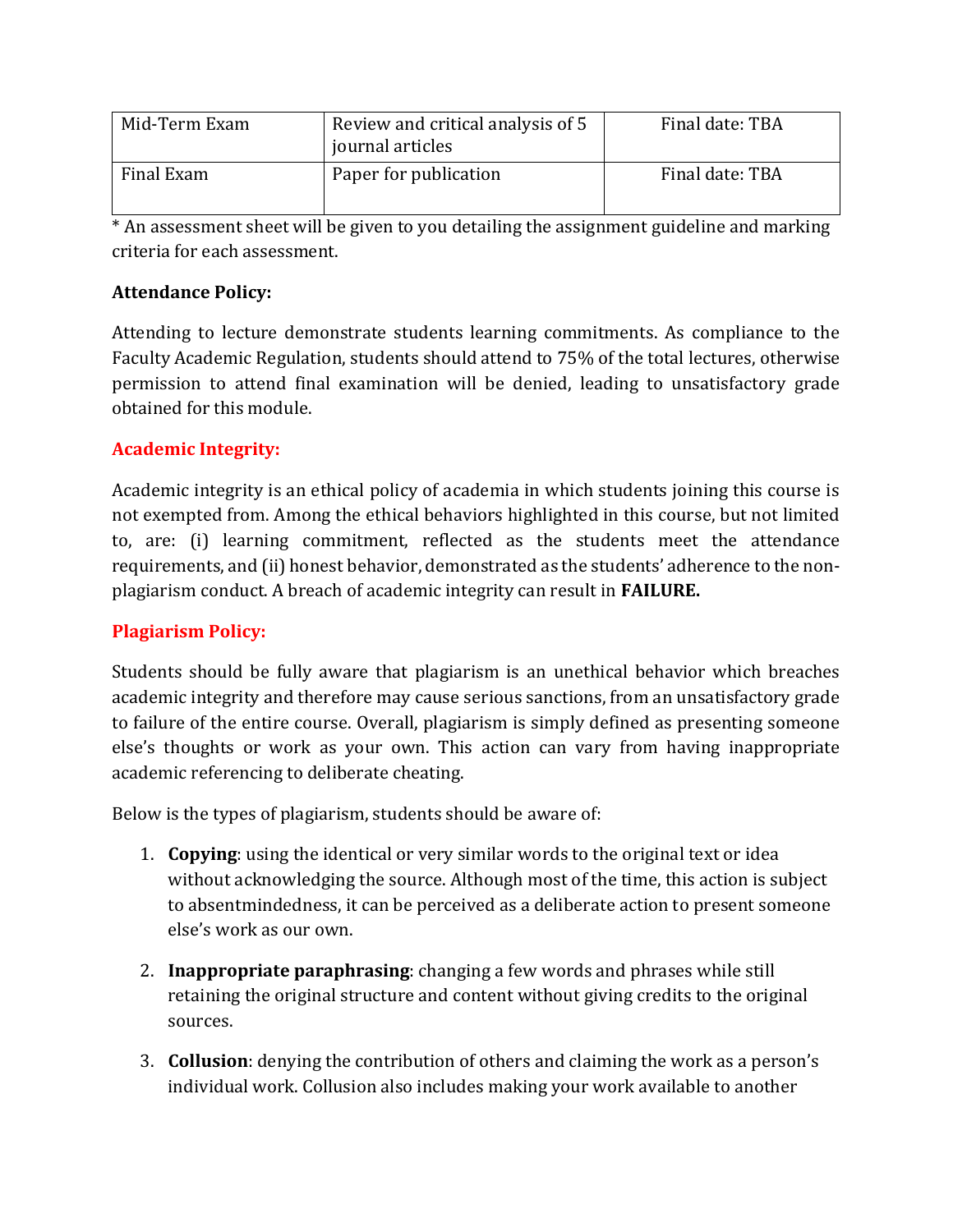| Mid-Term Exam | Review and critical analysis of 5<br>journal articles | Final date: TBA |
|---------------|-------------------------------------------------------|-----------------|
| Final Exam    | Paper for publication                                 | Final date: TBA |

 $*$  An assessment sheet will be given to you detailing the assignment guideline and marking criteria for each assessment.

#### **Attendance Policy:**

Attending to lecture demonstrate students learning commitments. As compliance to the Faculty Academic Regulation, students should attend to 75% of the total lectures, otherwise permission to attend final examination will be denied, leading to unsatisfactory grade obtained for this module.

## **Academic Integrity:**

Academic integrity is an ethical policy of academia in which students joining this course is not exempted from. Among the ethical behaviors highlighted in this course, but not limited to, are: (i) learning commitment, reflected as the students meet the attendance requirements, and (ii) honest behavior, demonstrated as the students' adherence to the nonplagiarism conduct. A breach of academic integrity can result in **FAILURE.**

### **Plagiarism Policy:**

Students should be fully aware that plagiarism is an unethical behavior which breaches academic integrity and therefore may cause serious sanctions, from an unsatisfactory grade to failure of the entire course. Overall, plagiarism is simply defined as presenting someone else's thoughts or work as your own. This action can vary from having inappropriate academic referencing to deliberate cheating.

Below is the types of plagiarism, students should be aware of:

- 1. **Copying**: using the identical or very similar words to the original text or idea without acknowledging the source. Although most of the time, this action is subject to absentmindedness, it can be perceived as a deliberate action to present someone else's work as our own.
- 2. **Inappropriate paraphrasing**: changing a few words and phrases while still retaining the original structure and content without giving credits to the original sources.
- 3. **Collusion**: denying the contribution of others and claiming the work as a person's individual work. Collusion also includes making your work available to another